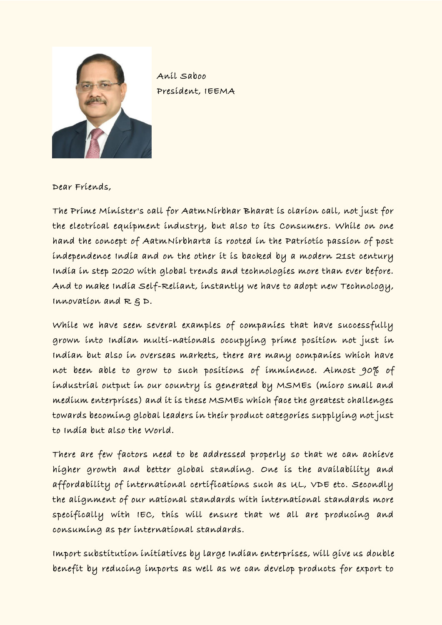

Anil Saboo President, IEEMA

Dear Friends,

The Prime Minister's call for AatmNirbhar Bharat is clarion call, not just for the electrical equipment industry, but also to its Consumers. While on one hand the concept of AatmNirbharta is rooted in the Patriotic passion of post independence India and on the other it is backed by a modern 21st century India in step 2020 with global trends and technologies more than ever before. And to make India Self-Reliant, instantly we have to adopt new Technology, Innovation and R & D.

While we have seen several examples of companies that have successfully grown into Indian multi-nationals occupying prime position not just in Indian but also in overseas markets, there are many companies which have not been able to grow to such positions of imminence. Almost 90% of industrial output in our country is generated by MSMEs (micro small and medium enterprises) and it is these MSMEs which face the greatest challenges towards becoming global leaders in their product categories supplying not just to India but also the World.

There are few factors need to be addressed properly so that we can achieve higher growth and better global standing. One is the availability and affordability of international certifications such as UL, VDE etc. Secondly the alignment of our national standards with international standards more specifically with IEC, this will ensure that we all are producing and consuming as per international standards.

Import substitution initiatives by large Indian enterprises, will give us double benefit by reducing imports as well as we can develop products for export to